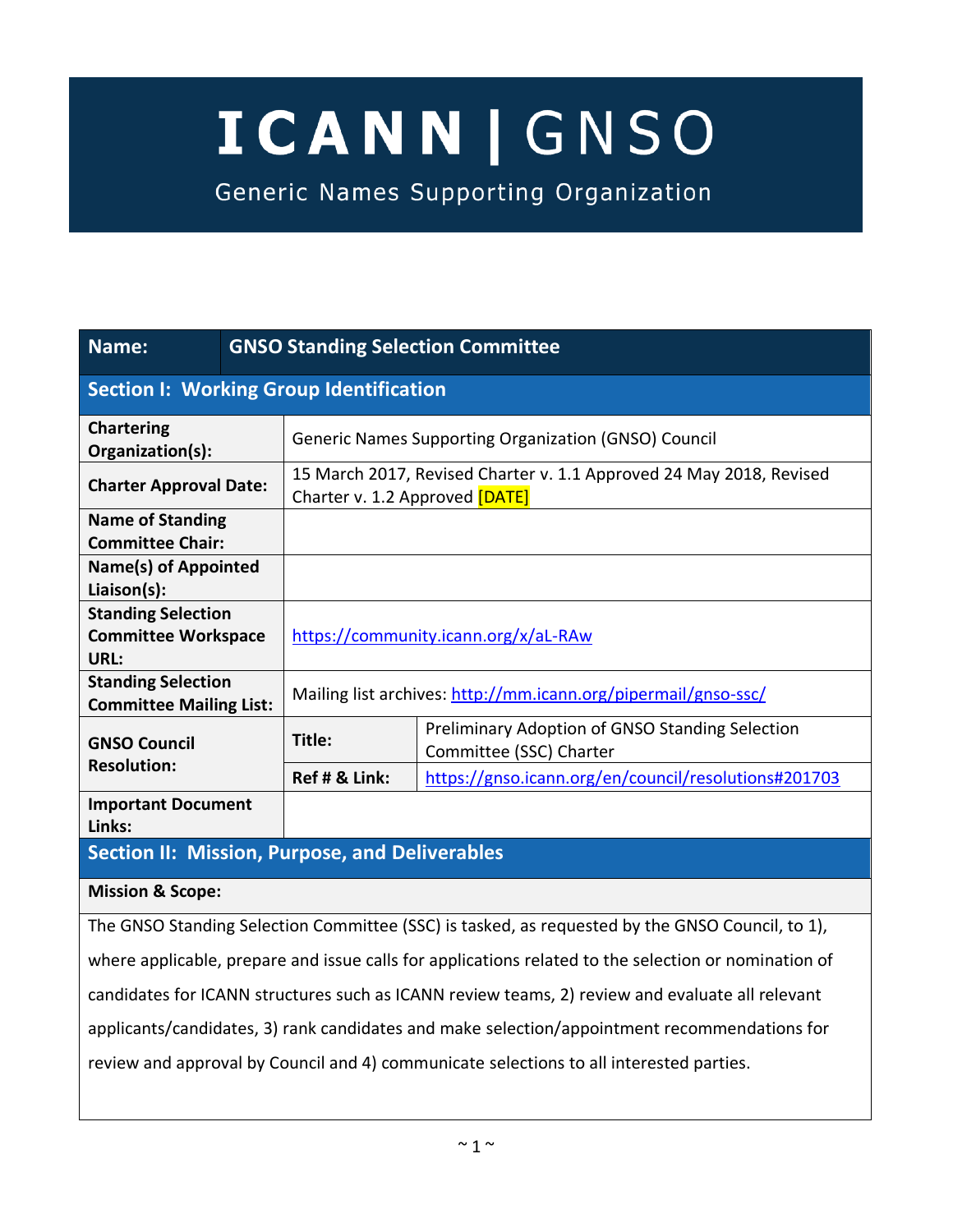# **ICANN | GNSO**

Generic Names Supporting Organization

| Name:                                                           |  | <b>GNSO Standing Selection Committee</b>                                                              |                                                                            |  |  |  |
|-----------------------------------------------------------------|--|-------------------------------------------------------------------------------------------------------|----------------------------------------------------------------------------|--|--|--|
| <b>Section I: Working Group Identification</b>                  |  |                                                                                                       |                                                                            |  |  |  |
| <b>Chartering</b><br>Organization(s):                           |  | <b>Generic Names Supporting Organization (GNSO) Council</b>                                           |                                                                            |  |  |  |
| <b>Charter Approval Date:</b>                                   |  | 15 March 2017, Revised Charter v. 1.1 Approved 24 May 2018, Revised<br>Charter v. 1.2 Approved [DATE] |                                                                            |  |  |  |
| <b>Name of Standing</b><br><b>Committee Chair:</b>              |  |                                                                                                       |                                                                            |  |  |  |
| Name(s) of Appointed<br>Liaison(s):                             |  |                                                                                                       |                                                                            |  |  |  |
| <b>Standing Selection</b><br><b>Committee Workspace</b><br>URL: |  | https://community.icann.org/x/aL-RAw                                                                  |                                                                            |  |  |  |
| <b>Standing Selection</b><br><b>Committee Mailing List:</b>     |  | Mailing list archives: http://mm.icann.org/pipermail/gnso-ssc/                                        |                                                                            |  |  |  |
| <b>GNSO Council</b>                                             |  | Title:                                                                                                | Preliminary Adoption of GNSO Standing Selection<br>Committee (SSC) Charter |  |  |  |
| <b>Resolution:</b>                                              |  | Ref # & Link:                                                                                         | https://gnso.icann.org/en/council/resolutions#201703                       |  |  |  |
| <b>Important Document</b><br>Links:                             |  |                                                                                                       |                                                                            |  |  |  |

# **Section II: Mission, Purpose, and Deliverables**

#### **Mission & Scope:**

The GNSO Standing Selection Committee (SSC) is tasked, as requested by the GNSO Council, to 1), where applicable, prepare and issue calls for applications related to the selection or nomination of candidates for ICANN structures such as ICANN review teams, 2) review and evaluate all relevant applicants/candidates, 3) rank candidates and make selection/appointment recommendations for review and approval by Council and 4) communicate selections to all interested parties.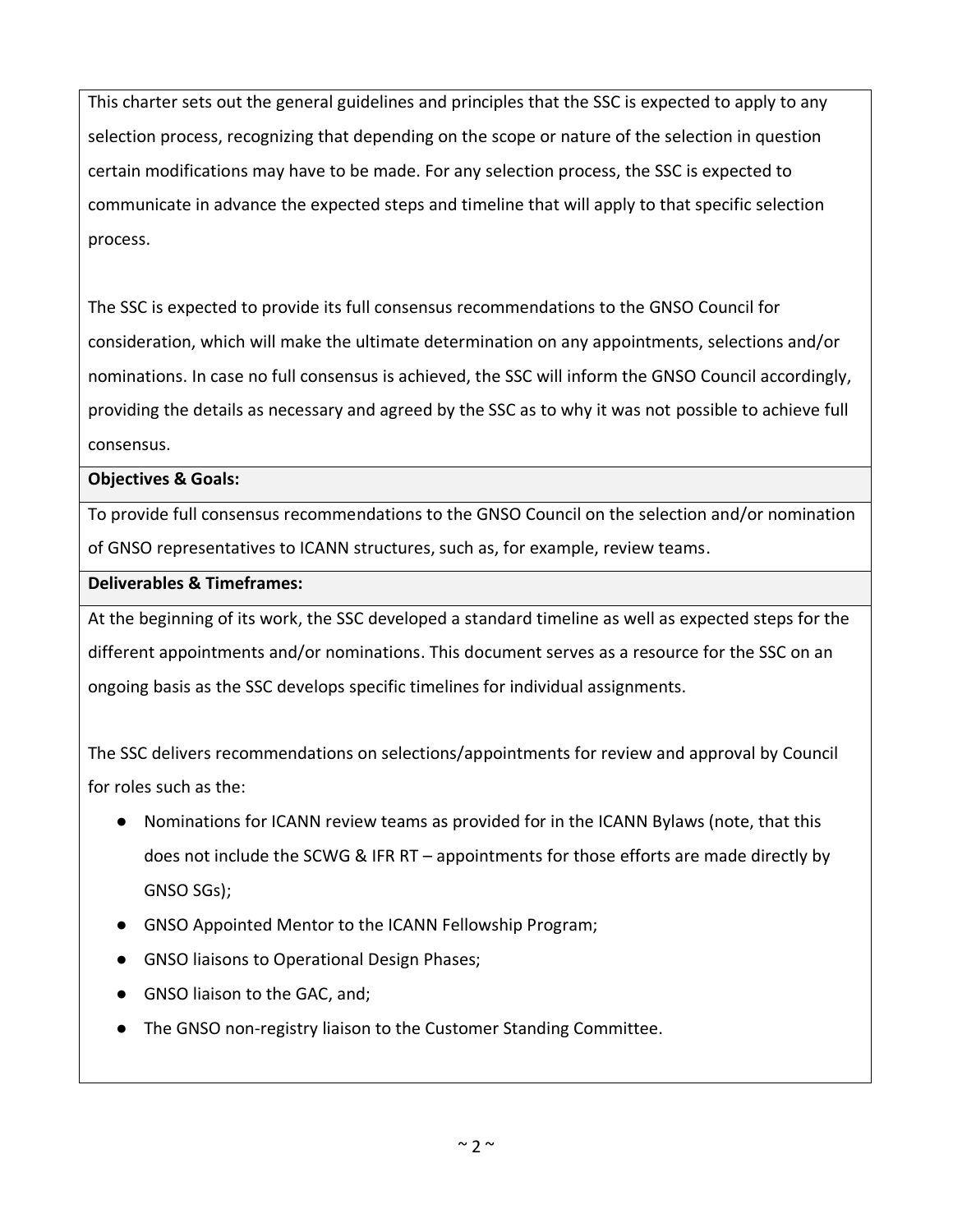This charter sets out the general guidelines and principles that the SSC is expected to apply to any selection process, recognizing that depending on the scope or nature of the selection in question certain modifications may have to be made. For any selection process, the SSC is expected to communicate in advance the expected steps and timeline that will apply to that specific selection process.

The SSC is expected to provide its full consensus recommendations to the GNSO Council for consideration, which will make the ultimate determination on any appointments, selections and/or nominations. In case no full consensus is achieved, the SSC will inform the GNSO Council accordingly, providing the details as necessary and agreed by the SSC as to why it was not possible to achieve full consensus.

#### **Objectives & Goals:**

To provide full consensus recommendations to the GNSO Council on the selection and/or nomination of GNSO representatives to ICANN structures, such as, for example, review teams.

#### **Deliverables & Timeframes:**

At the beginning of its work, the SSC developed a standard timeline as well as expected steps for the different appointments and/or nominations. This document serves as a resource for the SSC on an ongoing basis as the SSC develops specific timelines for individual assignments.

The SSC delivers recommendations on selections/appointments for review and approval by Council for roles such as the:

- Nominations for ICANN review teams as provided for in the ICANN Bylaws (note, that this does not include the SCWG & IFR RT – appointments for those efforts are made directly by GNSO SGs);
- GNSO Appointed Mentor to the ICANN Fellowship Program;
- GNSO liaisons to Operational Design Phases;
- GNSO liaison to the GAC, and;
- The GNSO non-registry liaison to the Customer Standing Committee.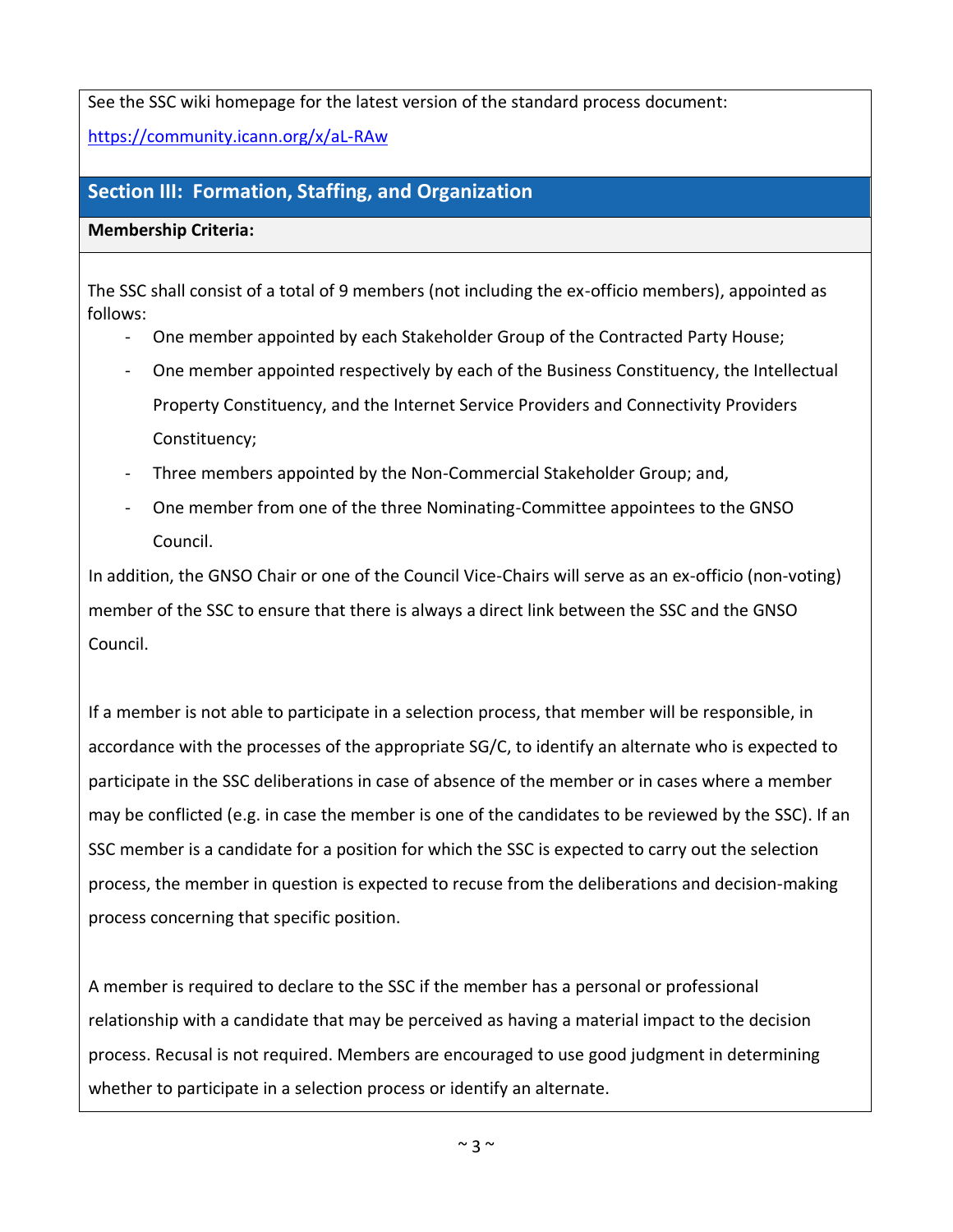See the SSC wiki homepage for the latest version of the standard process document:

<https://community.icann.org/x/aL-RAw>

# **Section III: Formation, Staffing, and Organization**

**Membership Criteria:**

The SSC shall consist of a total of 9 members (not including the ex-officio members), appointed as follows:

- One member appointed by each Stakeholder Group of the Contracted Party House;
- One member appointed respectively by each of the Business Constituency, the Intellectual Property Constituency, and the Internet Service Providers and Connectivity Providers Constituency;
- Three members appointed by the Non-Commercial Stakeholder Group; and,
- One member from one of the three Nominating-Committee appointees to the GNSO Council.

In addition, the GNSO Chair or one of the Council Vice-Chairs will serve as an ex-officio (non-voting) member of the SSC to ensure that there is always a direct link between the SSC and the GNSO Council.

If a member is not able to participate in a selection process, that member will be responsible, in accordance with the processes of the appropriate SG/C, to identify an alternate who is expected to participate in the SSC deliberations in case of absence of the member or in cases where a member may be conflicted (e.g. in case the member is one of the candidates to be reviewed by the SSC). If an SSC member is a candidate for a position for which the SSC is expected to carry out the selection process, the member in question is expected to recuse from the deliberations and decision-making process concerning that specific position.

A member is required to declare to the SSC if the member has a personal or professional relationship with a candidate that may be perceived as having a material impact to the decision process. Recusal is not required. Members are encouraged to use good judgment in determining whether to participate in a selection process or identify an alternate.

 $~\sim$  3  $~\sim$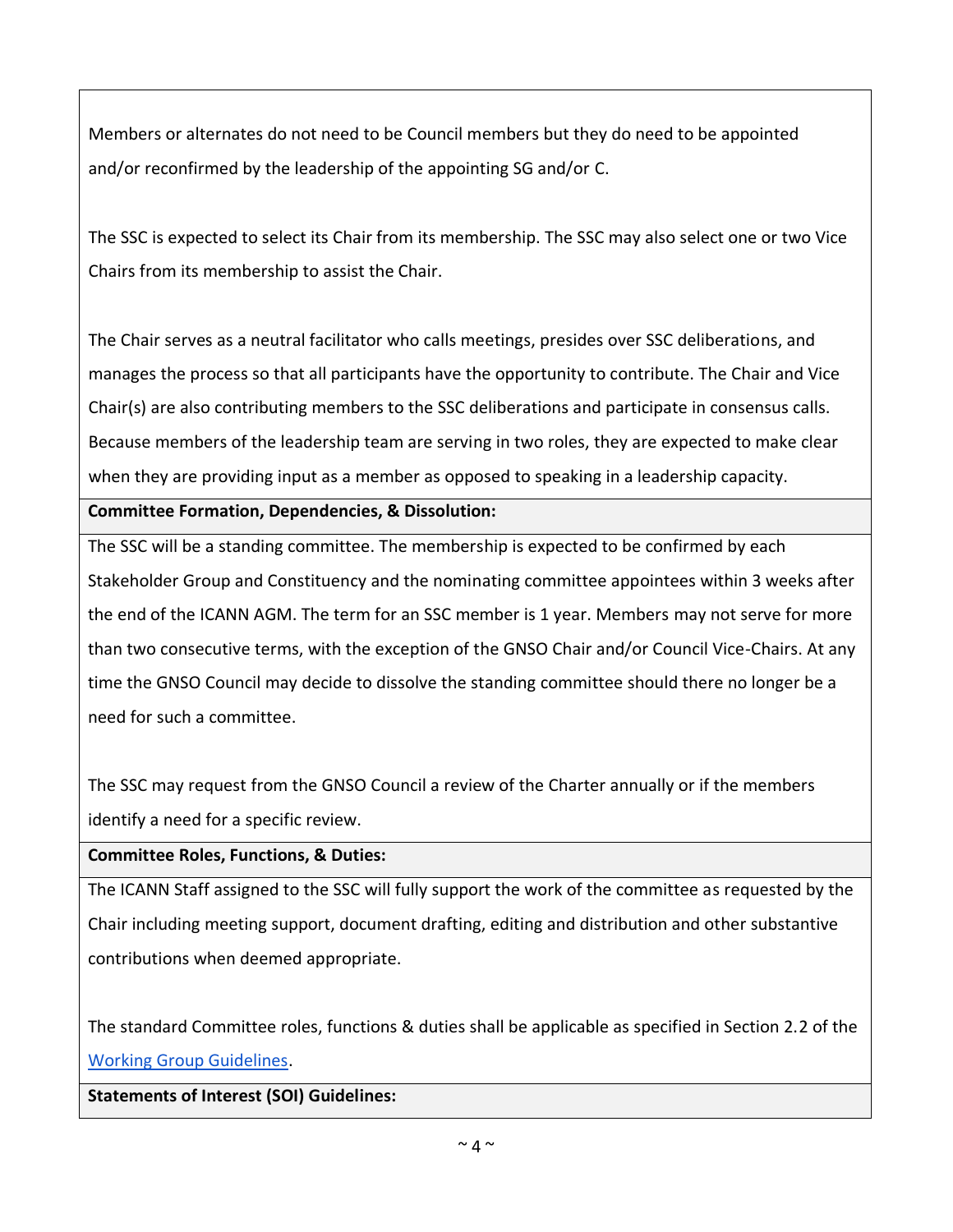Members or alternates do not need to be Council members but they do need to be appointed and/or reconfirmed by the leadership of the appointing SG and/or C.

The SSC is expected to select its Chair from its membership. The SSC may also select one or two Vice Chairs from its membership to assist the Chair.

The Chair serves as a neutral facilitator who calls meetings, presides over SSC deliberations, and manages the process so that all participants have the opportunity to contribute. The Chair and Vice Chair(s) are also contributing members to the SSC deliberations and participate in consensus calls. Because members of the leadership team are serving in two roles, they are expected to make clear when they are providing input as a member as opposed to speaking in a leadership capacity.

## **Committee Formation, Dependencies, & Dissolution:**

The SSC will be a standing committee. The membership is expected to be confirmed by each Stakeholder Group and Constituency and the nominating committee appointees within 3 weeks after the end of the ICANN AGM. The term for an SSC member is 1 year. Members may not serve for more than two consecutive terms, with the exception of the GNSO Chair and/or Council Vice-Chairs. At any time the GNSO Council may decide to dissolve the standing committee should there no longer be a need for such a committee.

The SSC may request from the GNSO Council a review of the Charter annually or if the members identify a need for a specific review.

## **Committee Roles, Functions, & Duties:**

The ICANN Staff assigned to the SSC will fully support the work of the committee as requested by the Chair including meeting support, document drafting, editing and distribution and other substantive contributions when deemed appropriate.

The standard Committee roles, functions & duties shall be applicable as specified in Section 2.2 of the [Working Group Guidelines.](https://gnso.icann.org/en/council/procedures)

**Statements of Interest (SOI) Guidelines:**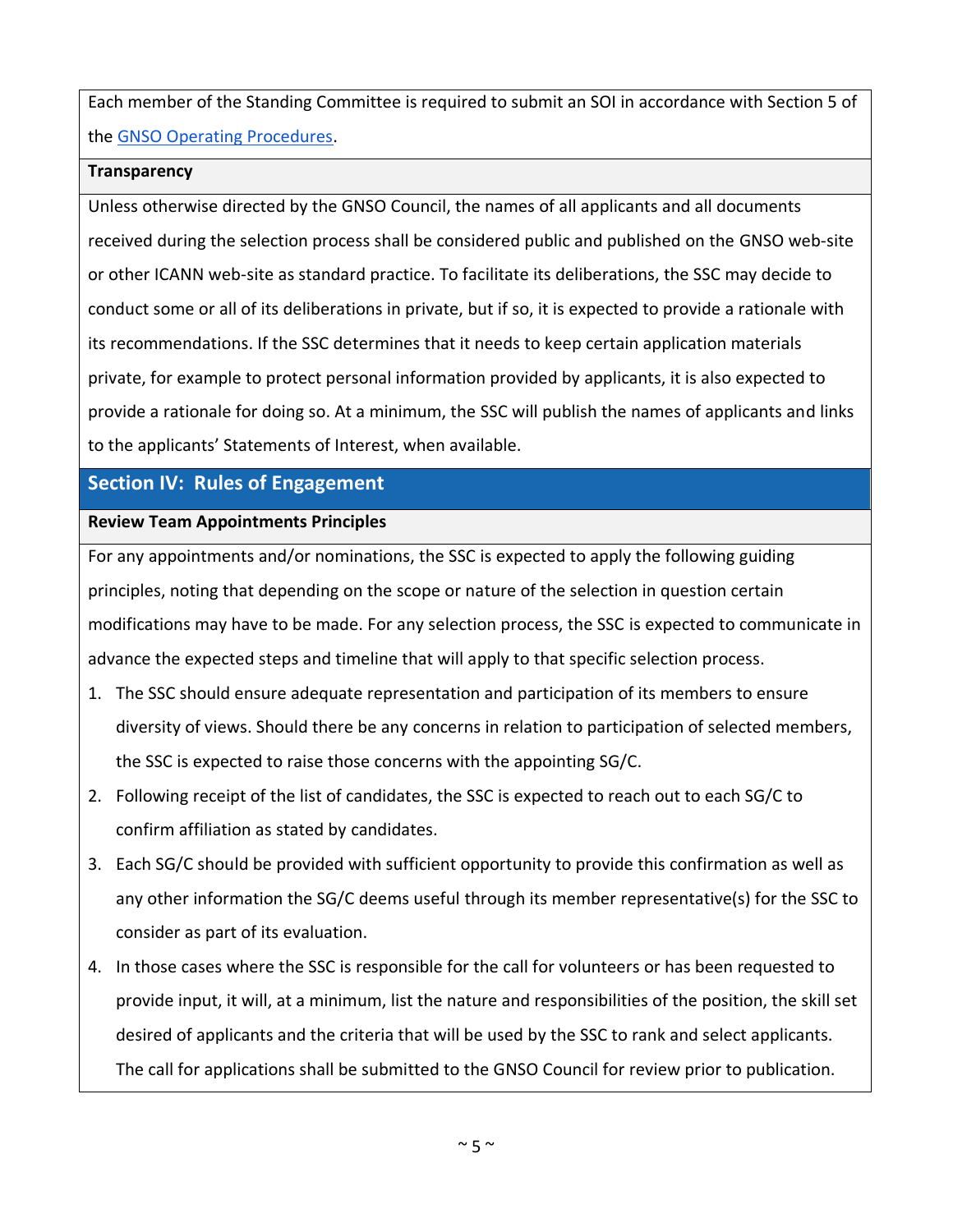Each member of the Standing Committee is required to submit an SOI in accordance with Section 5 of the [GNSO Operating Procedures.](https://gnso.icann.org/en/council/procedures)

#### **Transparency**

Unless otherwise directed by the GNSO Council, the names of all applicants and all documents received during the selection process shall be considered public and published on the GNSO web-site or other ICANN web-site as standard practice. To facilitate its deliberations, the SSC may decide to conduct some or all of its deliberations in private, but if so, it is expected to provide a rationale with its recommendations. If the SSC determines that it needs to keep certain application materials private, for example to protect personal information provided by applicants, it is also expected to provide a rationale for doing so. At a minimum, the SSC will publish the names of applicants and links to the applicants' Statements of Interest, when available.

# **Section IV: Rules of Engagement**

# **Review Team Appointments Principles**

For any appointments and/or nominations, the SSC is expected to apply the following guiding principles, noting that depending on the scope or nature of the selection in question certain modifications may have to be made. For any selection process, the SSC is expected to communicate in advance the expected steps and timeline that will apply to that specific selection process.

- 1. The SSC should ensure adequate representation and participation of its members to ensure diversity of views. Should there be any concerns in relation to participation of selected members, the SSC is expected to raise those concerns with the appointing SG/C.
- 2. Following receipt of the list of candidates, the SSC is expected to reach out to each SG/C to confirm affiliation as stated by candidates.
- 3. Each SG/C should be provided with sufficient opportunity to provide this confirmation as well as any other information the SG/C deems useful through its member representative(s) for the SSC to consider as part of its evaluation.
- 4. In those cases where the SSC is responsible for the call for volunteers or has been requested to provide input, it will, at a minimum, list the nature and responsibilities of the position, the skill set desired of applicants and the criteria that will be used by the SSC to rank and select applicants. The call for applications shall be submitted to the GNSO Council for review prior to publication.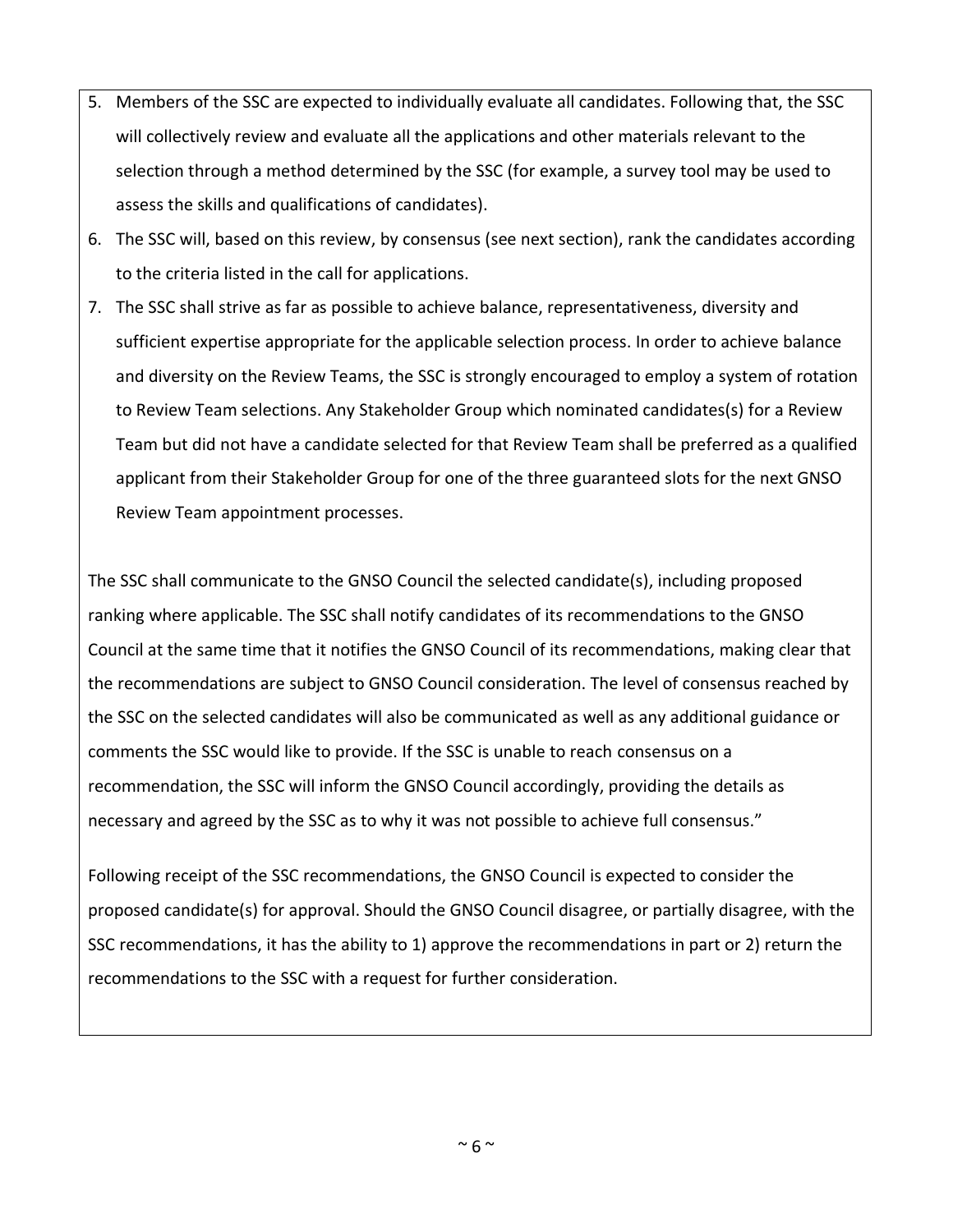- 5. Members of the SSC are expected to individually evaluate all candidates. Following that, the SSC will collectively review and evaluate all the applications and other materials relevant to the selection through a method determined by the SSC (for example, a survey tool may be used to assess the skills and qualifications of candidates).
- 6. The SSC will, based on this review, by consensus (see next section), rank the candidates according to the criteria listed in the call for applications.
- 7. The SSC shall strive as far as possible to achieve balance, representativeness, diversity and sufficient expertise appropriate for the applicable selection process. In order to achieve balance and diversity on the Review Teams, the SSC is strongly encouraged to employ a system of rotation to Review Team selections. Any Stakeholder Group which nominated candidates(s) for a Review Team but did not have a candidate selected for that Review Team shall be preferred as a qualified applicant from their Stakeholder Group for one of the three guaranteed slots for the next GNSO Review Team appointment processes.

The SSC shall communicate to the GNSO Council the selected candidate(s), including proposed ranking where applicable. The SSC shall notify candidates of its recommendations to the GNSO Council at the same time that it notifies the GNSO Council of its recommendations, making clear that the recommendations are subject to GNSO Council consideration. The level of consensus reached by the SSC on the selected candidates will also be communicated as well as any additional guidance or comments the SSC would like to provide. If the SSC is unable to reach consensus on a recommendation, the SSC will inform the GNSO Council accordingly, providing the details as necessary and agreed by the SSC as to why it was not possible to achieve full consensus."

Following receipt of the SSC recommendations, the GNSO Council is expected to consider the proposed candidate(s) for approval. Should the GNSO Council disagree, or partially disagree, with the SSC recommendations, it has the ability to 1) approve the recommendations in part or 2) return the recommendations to the SSC with a request for further consideration.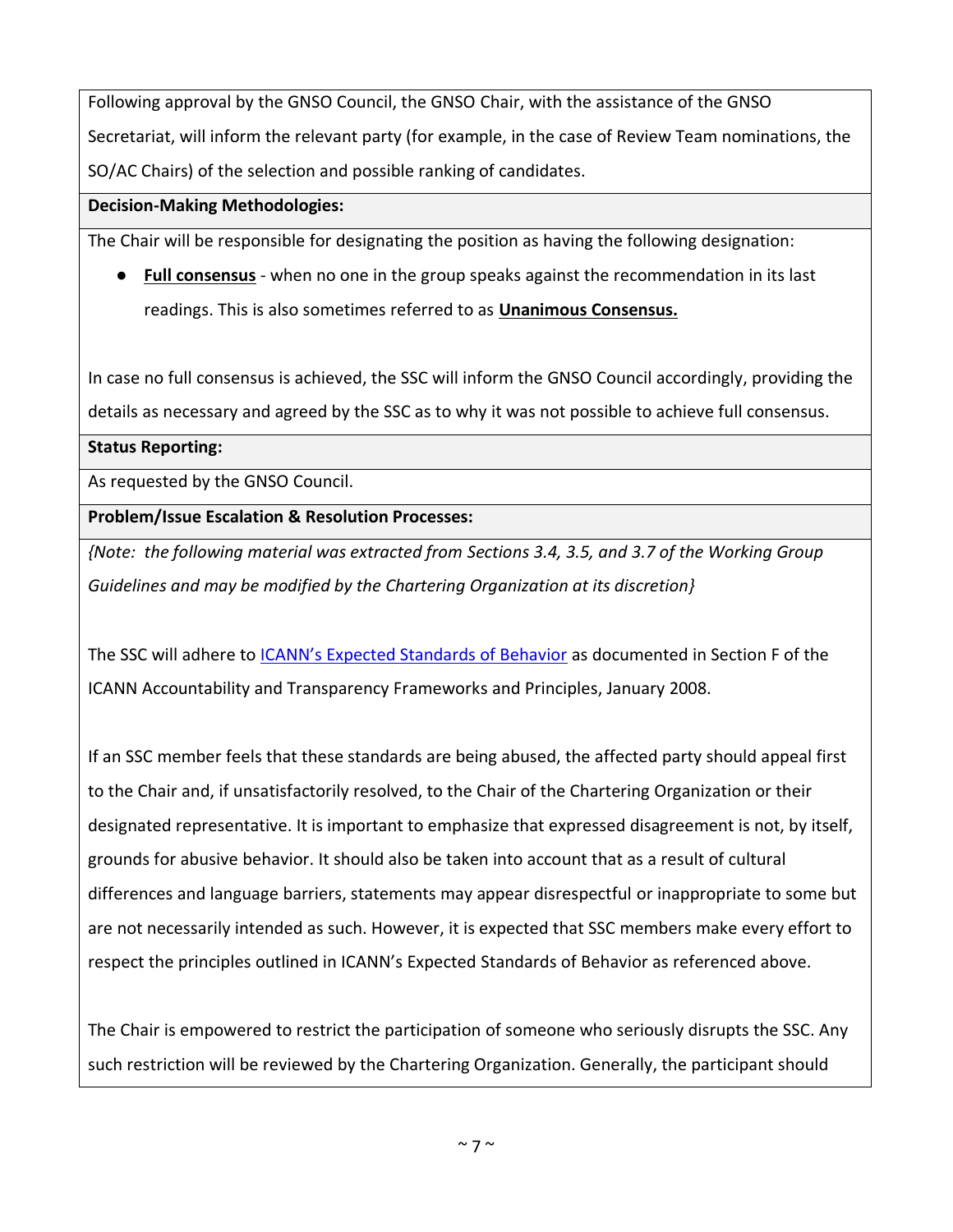Following approval by the GNSO Council, the GNSO Chair, with the assistance of the GNSO Secretariat, will inform the relevant party (for example, in the case of Review Team nominations, the SO/AC Chairs) of the selection and possible ranking of candidates.

#### **Decision-Making Methodologies:**

The Chair will be responsible for designating the position as having the following designation:

● **Full consensus** - when no one in the group speaks against the recommendation in its last readings. This is also sometimes referred to as **Unanimous Consensus.**

In case no full consensus is achieved, the SSC will inform the GNSO Council accordingly, providing the details as necessary and agreed by the SSC as to why it was not possible to achieve full consensus.

#### **Status Reporting:**

As requested by the GNSO Council.

## **Problem/Issue Escalation & Resolution Processes:**

*{Note: the following material was extracted from Sections 3.4, 3.5, and 3.7 of the Working Group Guidelines and may be modified by the Chartering Organization at its discretion}*

The SSC will adhere to ICANN's [Expected Standards of Behavior](http://www.icann.org/transparency/acct-trans-frameworks-principles-10jan08.pdf) as documented in Section F of the ICANN Accountability and Transparency Frameworks and Principles, January 2008.

If an SSC member feels that these standards are being abused, the affected party should appeal first to the Chair and, if unsatisfactorily resolved, to the Chair of the Chartering Organization or their designated representative. It is important to emphasize that expressed disagreement is not, by itself, grounds for abusive behavior. It should also be taken into account that as a result of cultural differences and language barriers, statements may appear disrespectful or inappropriate to some but are not necessarily intended as such. However, it is expected that SSC members make every effort to respect the principles outlined in ICANN's Expected Standards of Behavior as referenced above.

The Chair is empowered to restrict the participation of someone who seriously disrupts the SSC. Any such restriction will be reviewed by the Chartering Organization. Generally, the participant should